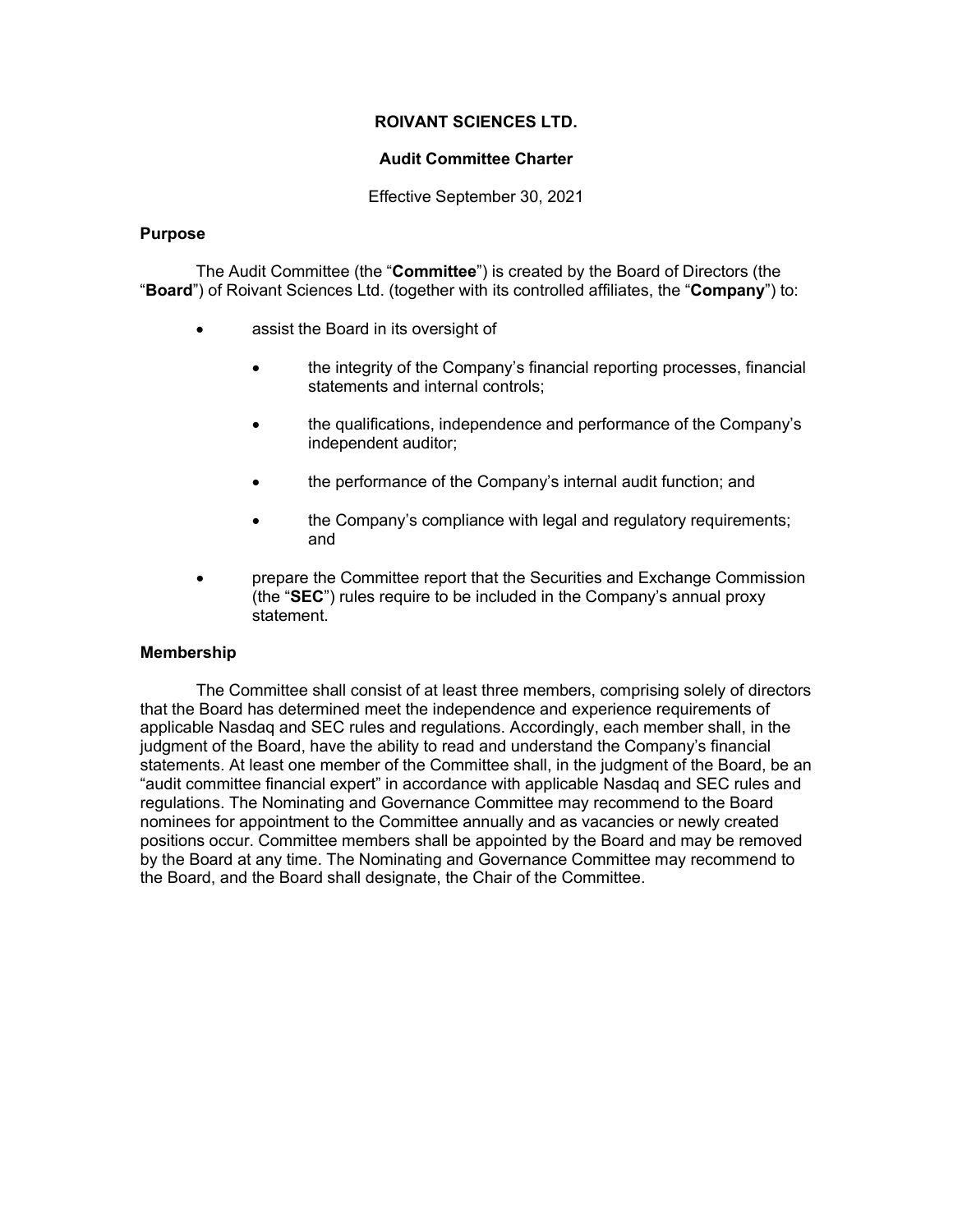## **ROIVANT SCIENCES LTD.**

## **Audit Committee Charter**

Effective September 30, 2021

### **Purpose**

The Audit Committee (the "**Committee**") is created by the Board of Directors (the "**Board**") of Roivant Sciences Ltd. (together with its controlled affiliates, the "**Company**") to:

- assist the Board in its oversight of
	- the integrity of the Company's financial reporting processes, financial statements and internal controls;
	- the qualifications, independence and performance of the Company's independent auditor;
	- the performance of the Company's internal audit function; and
	- the Company's compliance with legal and regulatory requirements; and
- prepare the Committee report that the Securities and Exchange Commission (the "**SEC**") rules require to be included in the Company's annual proxy statement.

## **Membership**

The Committee shall consist of at least three members, comprising solely of directors that the Board has determined meet the independence and experience requirements of applicable Nasdaq and SEC rules and regulations. Accordingly, each member shall, in the judgment of the Board, have the ability to read and understand the Company's financial statements. At least one member of the Committee shall, in the judgment of the Board, be an "audit committee financial expert" in accordance with applicable Nasdaq and SEC rules and regulations. The Nominating and Governance Committee may recommend to the Board nominees for appointment to the Committee annually and as vacancies or newly created positions occur. Committee members shall be appointed by the Board and may be removed by the Board at any time. The Nominating and Governance Committee may recommend to the Board, and the Board shall designate, the Chair of the Committee.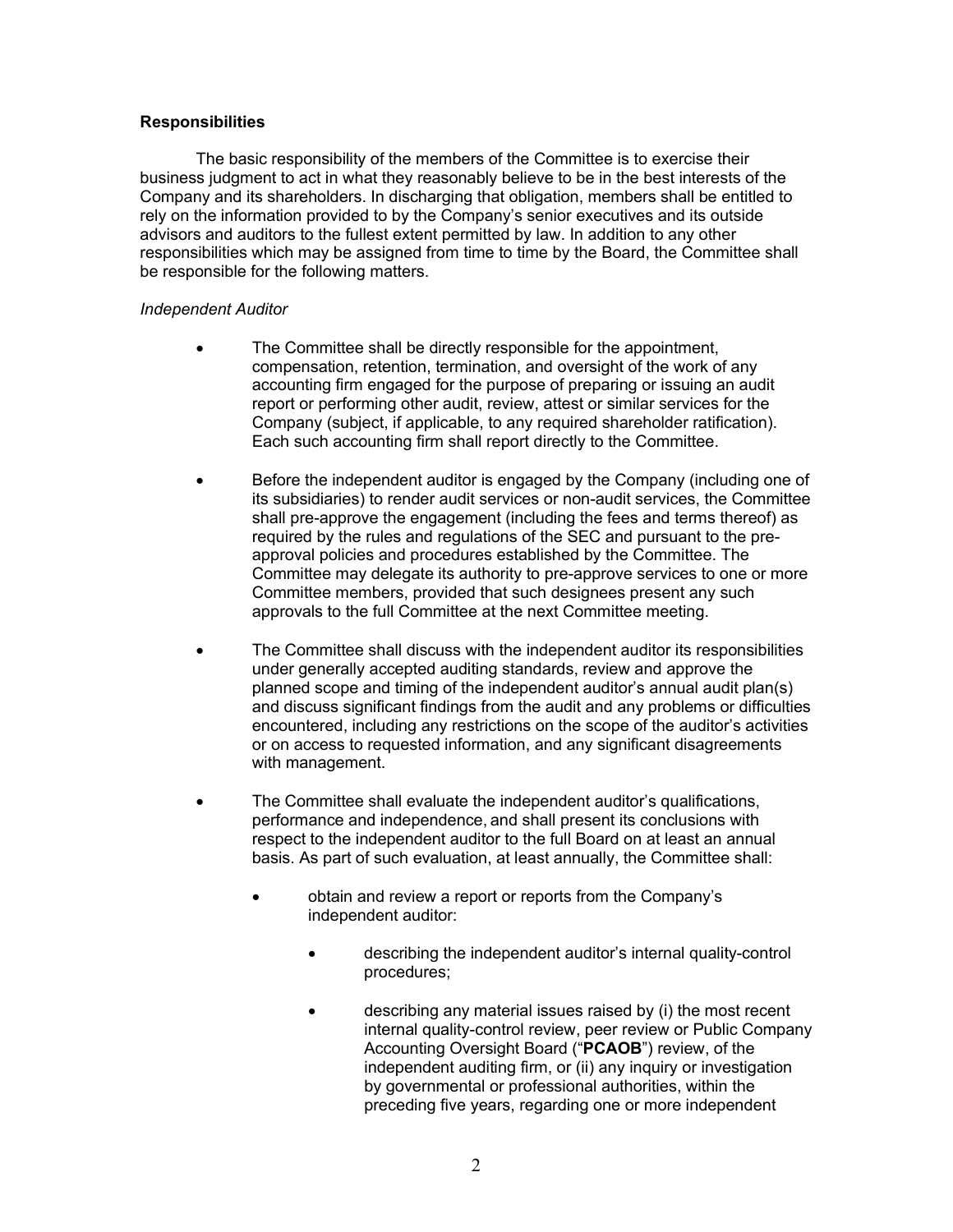## **Responsibilities**

The basic responsibility of the members of the Committee is to exercise their business judgment to act in what they reasonably believe to be in the best interests of the Company and its shareholders. In discharging that obligation, members shall be entitled to rely on the information provided to by the Company's senior executives and its outside advisors and auditors to the fullest extent permitted by law. In addition to any other responsibilities which may be assigned from time to time by the Board, the Committee shall be responsible for the following matters.

### *Independent Auditor*

- The Committee shall be directly responsible for the appointment, compensation, retention, termination, and oversight of the work of any accounting firm engaged for the purpose of preparing or issuing an audit report or performing other audit, review, attest or similar services for the Company (subject, if applicable, to any required shareholder ratification). Each such accounting firm shall report directly to the Committee.
- Before the independent auditor is engaged by the Company (including one of its subsidiaries) to render audit services or non-audit services, the Committee shall pre-approve the engagement (including the fees and terms thereof) as required by the rules and regulations of the SEC and pursuant to the preapproval policies and procedures established by the Committee. The Committee may delegate its authority to pre-approve services to one or more Committee members, provided that such designees present any such approvals to the full Committee at the next Committee meeting.
- The Committee shall discuss with the independent auditor its responsibilities under generally accepted auditing standards, review and approve the planned scope and timing of the independent auditor's annual audit plan(s) and discuss significant findings from the audit and any problems or difficulties encountered, including any restrictions on the scope of the auditor's activities or on access to requested information, and any significant disagreements with management.
- The Committee shall evaluate the independent auditor's qualifications, performance and independence, and shall present its conclusions with respect to the independent auditor to the full Board on at least an annual basis. As part of such evaluation, at least annually, the Committee shall:
	- obtain and review a report or reports from the Company's independent auditor:
		- describing the independent auditor's internal quality-control procedures;
		- describing any material issues raised by (i) the most recent internal quality-control review, peer review or Public Company Accounting Oversight Board ("**PCAOB**") review, of the independent auditing firm, or (ii) any inquiry or investigation by governmental or professional authorities, within the preceding five years, regarding one or more independent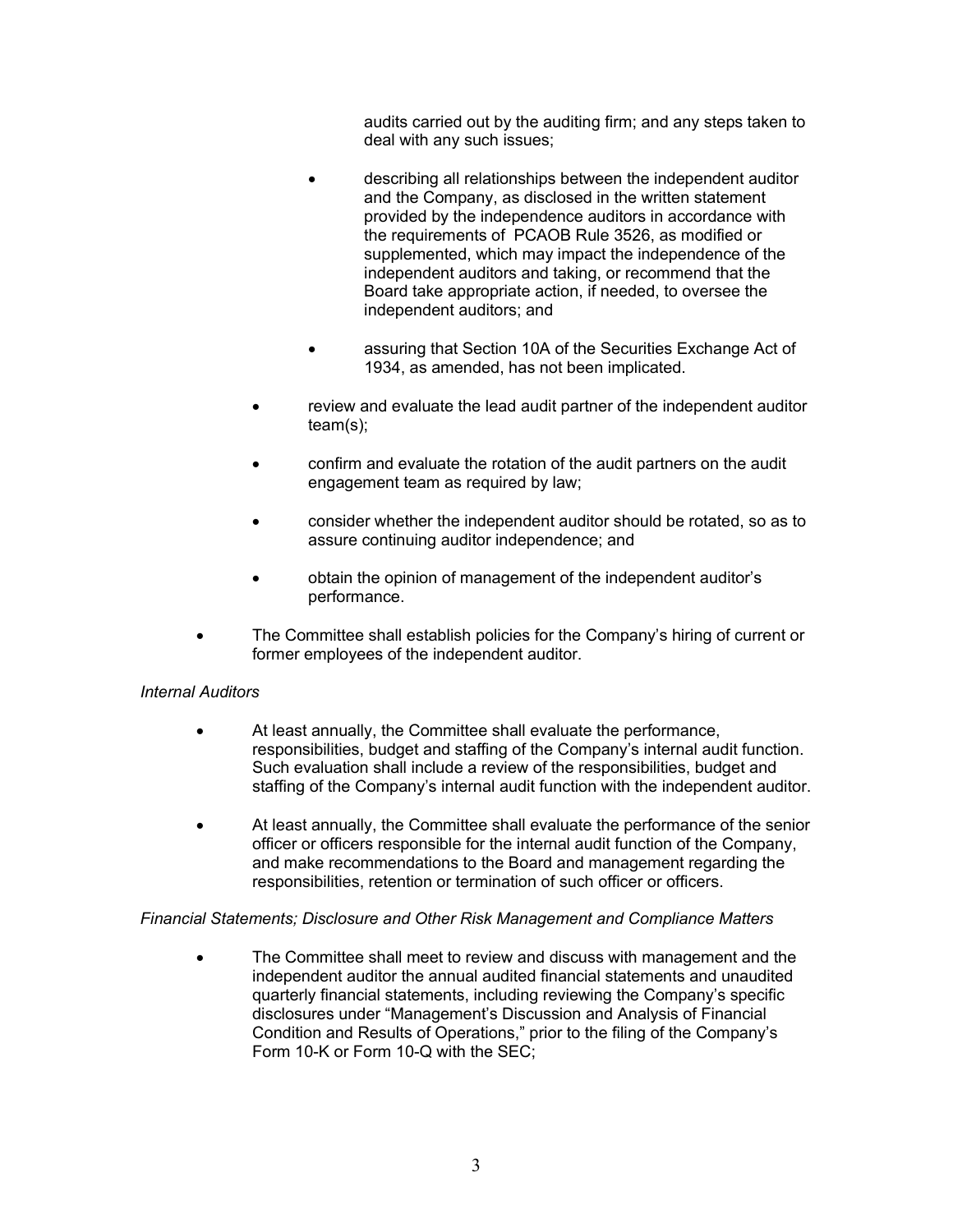audits carried out by the auditing firm; and any steps taken to deal with any such issues;

- describing all relationships between the independent auditor and the Company, as disclosed in the written statement provided by the independence auditors in accordance with the requirements of PCAOB Rule 3526, as modified or supplemented, which may impact the independence of the independent auditors and taking, or recommend that the Board take appropriate action, if needed, to oversee the independent auditors; and
- assuring that Section 10A of the Securities Exchange Act of 1934, as amended, has not been implicated.
- review and evaluate the lead audit partner of the independent auditor team(s);
- confirm and evaluate the rotation of the audit partners on the audit engagement team as required by law;
- consider whether the independent auditor should be rotated, so as to assure continuing auditor independence; and
- obtain the opinion of management of the independent auditor's performance.
- The Committee shall establish policies for the Company's hiring of current or former employees of the independent auditor.

# *Internal Auditors*

- At least annually, the Committee shall evaluate the performance, responsibilities, budget and staffing of the Company's internal audit function. Such evaluation shall include a review of the responsibilities, budget and staffing of the Company's internal audit function with the independent auditor.
- At least annually, the Committee shall evaluate the performance of the senior officer or officers responsible for the internal audit function of the Company, and make recommendations to the Board and management regarding the responsibilities, retention or termination of such officer or officers.

## *Financial Statements; Disclosure and Other Risk Management and Compliance Matters*

• The Committee shall meet to review and discuss with management and the independent auditor the annual audited financial statements and unaudited quarterly financial statements, including reviewing the Company's specific disclosures under "Management's Discussion and Analysis of Financial Condition and Results of Operations," prior to the filing of the Company's Form 10-K or Form 10-Q with the SEC;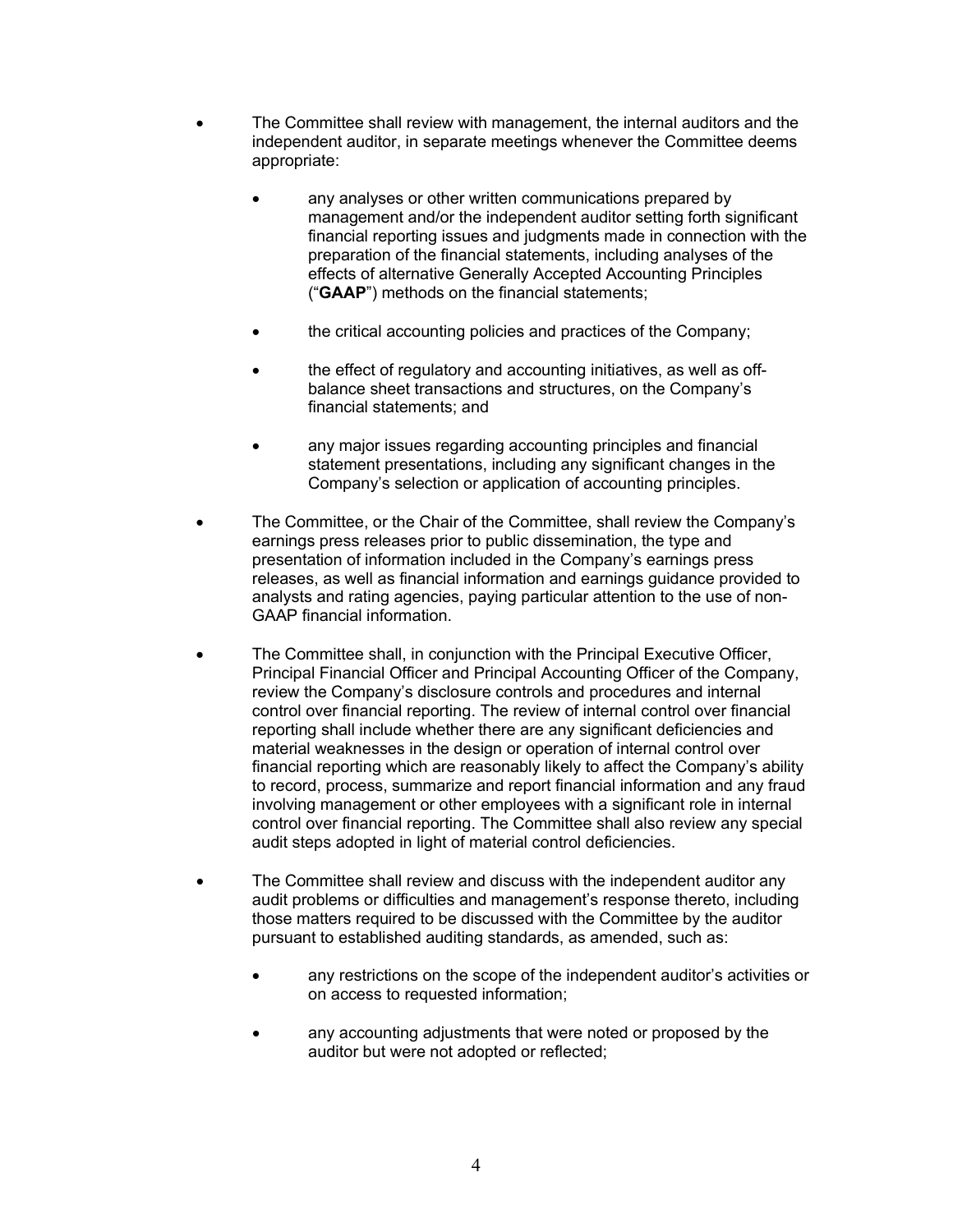- The Committee shall review with management, the internal auditors and the independent auditor, in separate meetings whenever the Committee deems appropriate:
	- any analyses or other written communications prepared by management and/or the independent auditor setting forth significant financial reporting issues and judgments made in connection with the preparation of the financial statements, including analyses of the effects of alternative Generally Accepted Accounting Principles ("**GAAP**") methods on the financial statements;
	- the critical accounting policies and practices of the Company;
	- the effect of regulatory and accounting initiatives, as well as offbalance sheet transactions and structures, on the Company's financial statements; and
	- any major issues regarding accounting principles and financial statement presentations, including any significant changes in the Company's selection or application of accounting principles.
- The Committee, or the Chair of the Committee, shall review the Company's earnings press releases prior to public dissemination, the type and presentation of information included in the Company's earnings press releases, as well as financial information and earnings guidance provided to analysts and rating agencies, paying particular attention to the use of non-GAAP financial information.
- The Committee shall, in conjunction with the Principal Executive Officer, Principal Financial Officer and Principal Accounting Officer of the Company, review the Company's disclosure controls and procedures and internal control over financial reporting. The review of internal control over financial reporting shall include whether there are any significant deficiencies and material weaknesses in the design or operation of internal control over financial reporting which are reasonably likely to affect the Company's ability to record, process, summarize and report financial information and any fraud involving management or other employees with a significant role in internal control over financial reporting. The Committee shall also review any special audit steps adopted in light of material control deficiencies.
- The Committee shall review and discuss with the independent auditor any audit problems or difficulties and management's response thereto, including those matters required to be discussed with the Committee by the auditor pursuant to established auditing standards, as amended, such as:
	- any restrictions on the scope of the independent auditor's activities or on access to requested information;
	- any accounting adjustments that were noted or proposed by the auditor but were not adopted or reflected;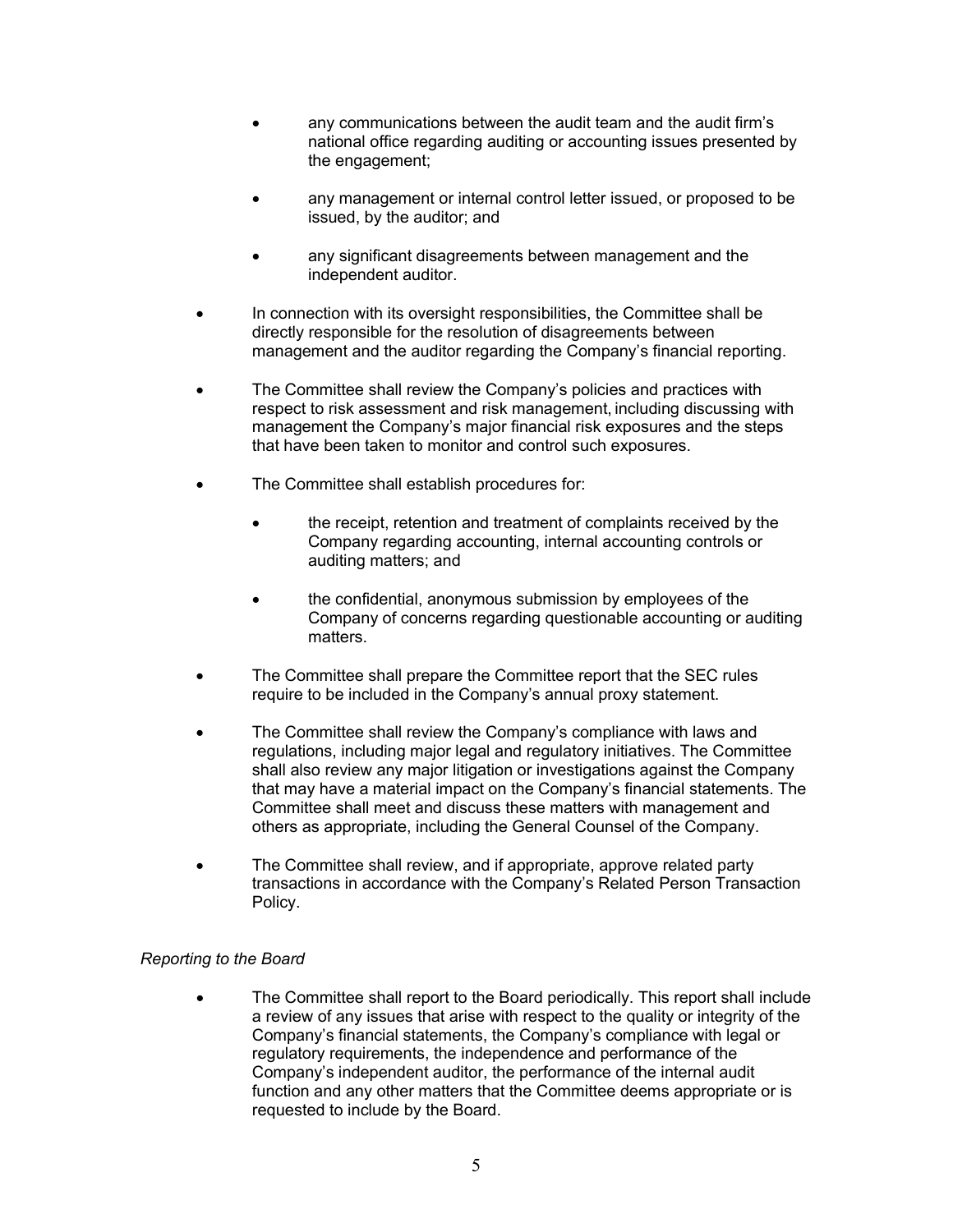- any communications between the audit team and the audit firm's national office regarding auditing or accounting issues presented by the engagement;
- any management or internal control letter issued, or proposed to be issued, by the auditor; and
- any significant disagreements between management and the independent auditor.
- In connection with its oversight responsibilities, the Committee shall be directly responsible for the resolution of disagreements between management and the auditor regarding the Company's financial reporting.
- The Committee shall review the Company's policies and practices with respect to risk assessment and risk management, including discussing with management the Company's major financial risk exposures and the steps that have been taken to monitor and control such exposures.
- The Committee shall establish procedures for:
	- the receipt, retention and treatment of complaints received by the Company regarding accounting, internal accounting controls or auditing matters; and
	- the confidential, anonymous submission by employees of the Company of concerns regarding questionable accounting or auditing matters.
- The Committee shall prepare the Committee report that the SEC rules require to be included in the Company's annual proxy statement.
- The Committee shall review the Company's compliance with laws and regulations, including major legal and regulatory initiatives. The Committee shall also review any major litigation or investigations against the Company that may have a material impact on the Company's financial statements. The Committee shall meet and discuss these matters with management and others as appropriate, including the General Counsel of the Company.
- The Committee shall review, and if appropriate, approve related party transactions in accordance with the Company's Related Person Transaction Policy.

# *Reporting to the Board*

• The Committee shall report to the Board periodically. This report shall include a review of any issues that arise with respect to the quality or integrity of the Company's financial statements, the Company's compliance with legal or regulatory requirements, the independence and performance of the Company's independent auditor, the performance of the internal audit function and any other matters that the Committee deems appropriate or is requested to include by the Board.